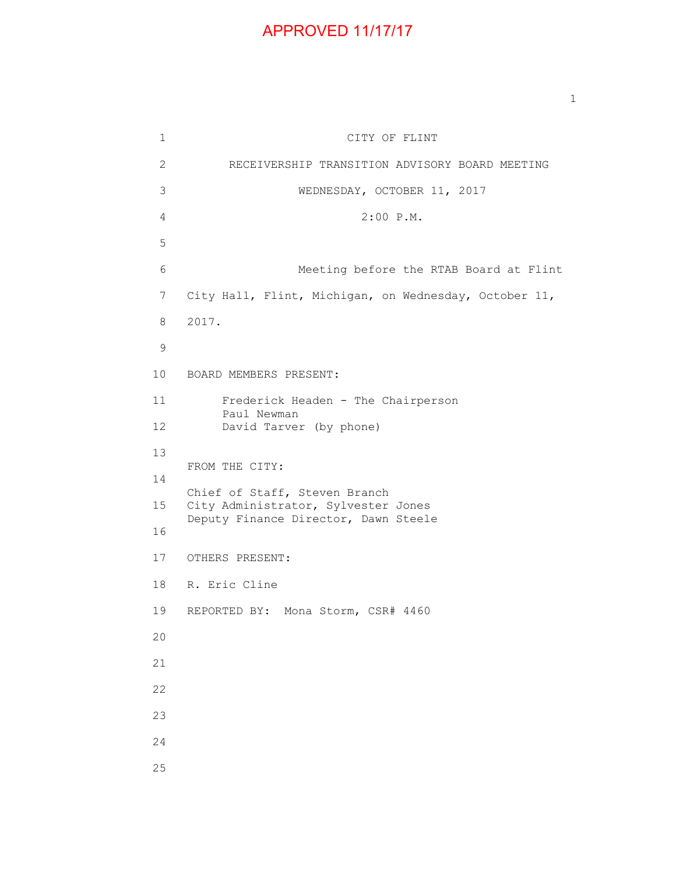## APPROVED 11/17/17

 1 CITY OF FLINT 2 RECEIVERSHIP TRANSITION ADVISORY BOARD MEETING 3 WEDNESDAY, OCTOBER 11, 2017 4 2:00 P.M. 6 Meeting before the RTAB Board at Flint 7 City Hall, Flint, Michigan, on Wednesday, October 11, 8 2017. 10 BOARD MEMBERS PRESENT: 11 Frederick Headen - The Chairperson Paul Newman 12 David Tarver (by phone) FROM THE CITY: Chief of Staff, Steven Branch 15 City Administrator, Sylvester Jones Deputy Finance Director, Dawn Steele 17 OTHERS PRESENT: 18 R. Eric Cline 19 REPORTED BY: Mona Storm, CSR# 4460

25

5

9

13

14

16

20

21

22

23

24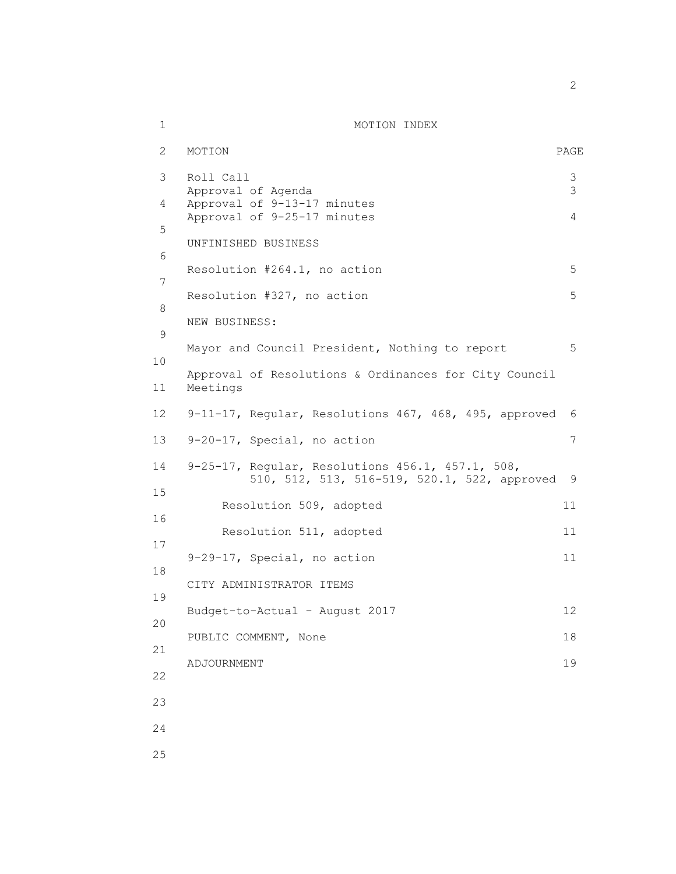| $\mathbf 1$ | MOTION INDEX                                                                                     |                  |
|-------------|--------------------------------------------------------------------------------------------------|------------------|
| 2           | MOTION                                                                                           | PAGE             |
| 3           | Roll Call<br>Approval of Agenda                                                                  | $\mathsf 3$<br>3 |
| 4           | Approval of 9-13-17 minutes<br>Approval of 9-25-17 minutes                                       | 4                |
| 5           | UNFINISHED BUSINESS                                                                              |                  |
| 6           | Resolution #264.1, no action                                                                     | 5                |
| 7           | Resolution #327, no action                                                                       | 5                |
| 8<br>9      | NEW BUSINESS:                                                                                    |                  |
| 10          | Mayor and Council President, Nothing to report                                                   | 5                |
| 11          | Approval of Resolutions & Ordinances for City Council<br>Meetings                                |                  |
| 12          | 9-11-17, Regular, Resolutions 467, 468, 495, approved                                            | 6                |
| 13          | 9-20-17, Special, no action                                                                      | 7                |
| 14<br>15    | 9-25-17, Regular, Resolutions 456.1, 457.1, 508,<br>510, 512, 513, 516-519, 520.1, 522, approved | 9                |
| 16          | Resolution 509, adopted                                                                          | 11               |
| 17          | Resolution 511, adopted                                                                          | 11               |
| 18          | 9-29-17, Special, no action                                                                      | 11               |
| 19          | CITY ADMINISTRATOR ITEMS                                                                         |                  |
| 20          | Budget-to-Actual - August 2017                                                                   | 12               |
| 21          | PUBLIC COMMENT, None                                                                             | 18               |
| 22          | ADJOURNMENT                                                                                      | 19               |
| 23          |                                                                                                  |                  |
| 24          |                                                                                                  |                  |
| 25          |                                                                                                  |                  |

 $\overline{2}$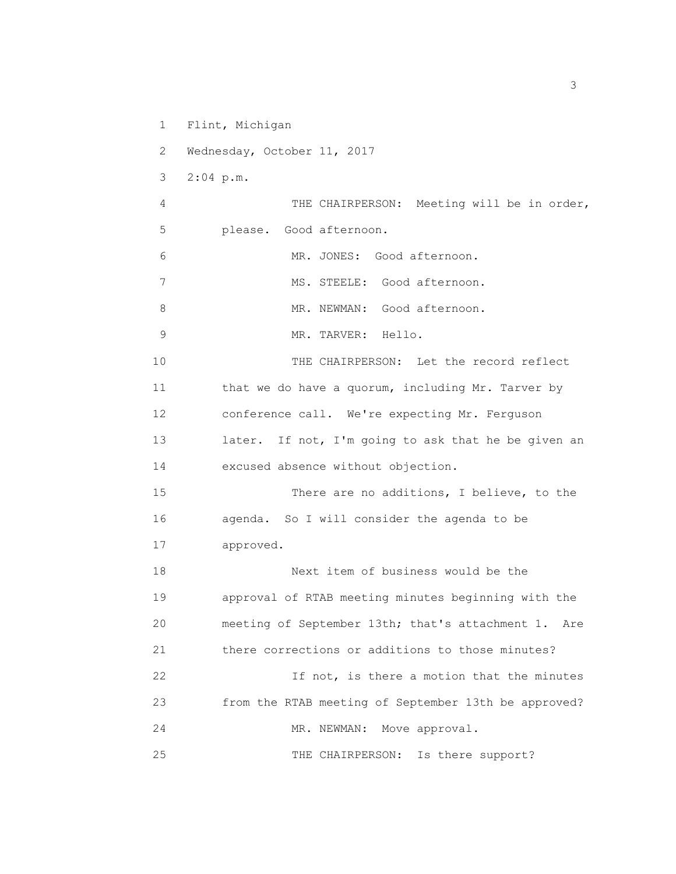1 Flint, Michigan

2 Wednesday, October 11, 2017

3 2:04 p.m.

 4 THE CHAIRPERSON: Meeting will be in order, 5 please. Good afternoon.

6 MR. JONES: Good afternoon.

7 MS. STEELE: Good afternoon.

8 MR. NEWMAN: Good afternoon.

9 MR. TARVER: Hello.

 10 THE CHAIRPERSON: Let the record reflect 11 that we do have a quorum, including Mr. Tarver by 12 conference call. We're expecting Mr. Ferguson 13 later. If not, I'm going to ask that he be given an 14 excused absence without objection.

 15 There are no additions, I believe, to the 16 agenda. So I will consider the agenda to be 17 approved.

 18 Next item of business would be the 19 approval of RTAB meeting minutes beginning with the 20 meeting of September 13th; that's attachment 1. Are 21 there corrections or additions to those minutes? 22 If not, is there a motion that the minutes

 23 from the RTAB meeting of September 13th be approved? 24 MR. NEWMAN: Move approval.

25 THE CHAIRPERSON: Is there support?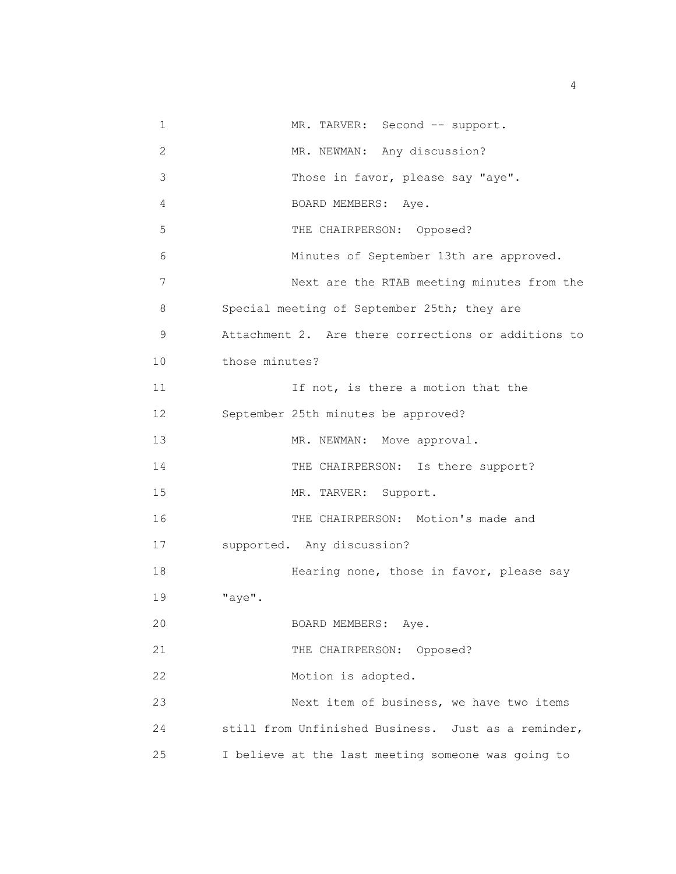| 1              | MR. TARVER: Second -- support.                      |
|----------------|-----------------------------------------------------|
| $\overline{c}$ | MR. NEWMAN: Any discussion?                         |
| 3              | Those in favor, please say "aye".                   |
| 4              | BOARD MEMBERS: Aye.                                 |
| 5              | THE CHAIRPERSON: Opposed?                           |
| 6              | Minutes of September 13th are approved.             |
| 7              | Next are the RTAB meeting minutes from the          |
| 8              | Special meeting of September 25th; they are         |
| 9              | Attachment 2. Are there corrections or additions to |
| 10             | those minutes?                                      |
| 11             | If not, is there a motion that the                  |
| 12             | September 25th minutes be approved?                 |
| 13             | MR. NEWMAN: Move approval.                          |
| 14             | THE CHAIRPERSON: Is there support?                  |
| 15             | MR. TARVER: Support.                                |
| 16             | THE CHAIRPERSON: Motion's made and                  |
| 17             | supported. Any discussion?                          |
| 18             | Hearing none, those in favor, please say            |
| 19             | "aye".                                              |
| 20             | BOARD MEMBERS:<br>Aye.                              |
| 21             | THE CHAIRPERSON: Opposed?                           |
| 22             | Motion is adopted.                                  |
| 23             | Next item of business, we have two items            |
| 24             | still from Unfinished Business. Just as a reminder, |
| 25             | I believe at the last meeting someone was going to  |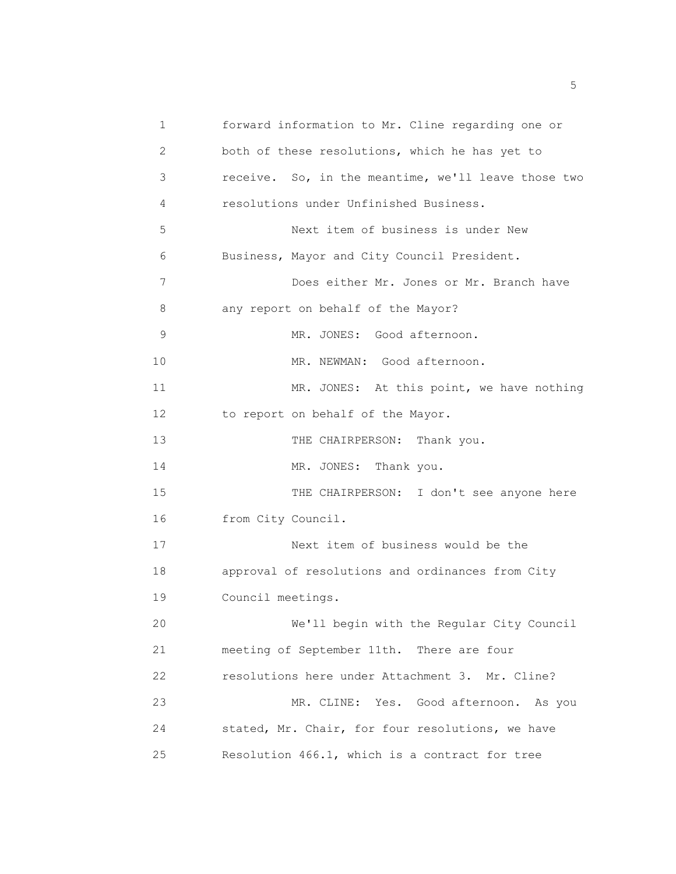1 forward information to Mr. Cline regarding one or 2 both of these resolutions, which he has yet to 3 receive. So, in the meantime, we'll leave those two 4 resolutions under Unfinished Business. 5 Next item of business is under New 6 Business, Mayor and City Council President. 7 Does either Mr. Jones or Mr. Branch have 8 any report on behalf of the Mayor? 9 MR. JONES: Good afternoon. 10 MR. NEWMAN: Good afternoon. 11 MR. JONES: At this point, we have nothing 12 to report on behalf of the Mayor. 13 THE CHAIRPERSON: Thank you. 14 MR. JONES: Thank you. 15 THE CHAIRPERSON: I don't see anyone here 16 from City Council. 17 Next item of business would be the 18 approval of resolutions and ordinances from City 19 Council meetings. 20 We'll begin with the Regular City Council 21 meeting of September 11th. There are four 22 resolutions here under Attachment 3. Mr. Cline? 23 MR. CLINE: Yes. Good afternoon. As you 24 stated, Mr. Chair, for four resolutions, we have 25 Resolution 466.1, which is a contract for tree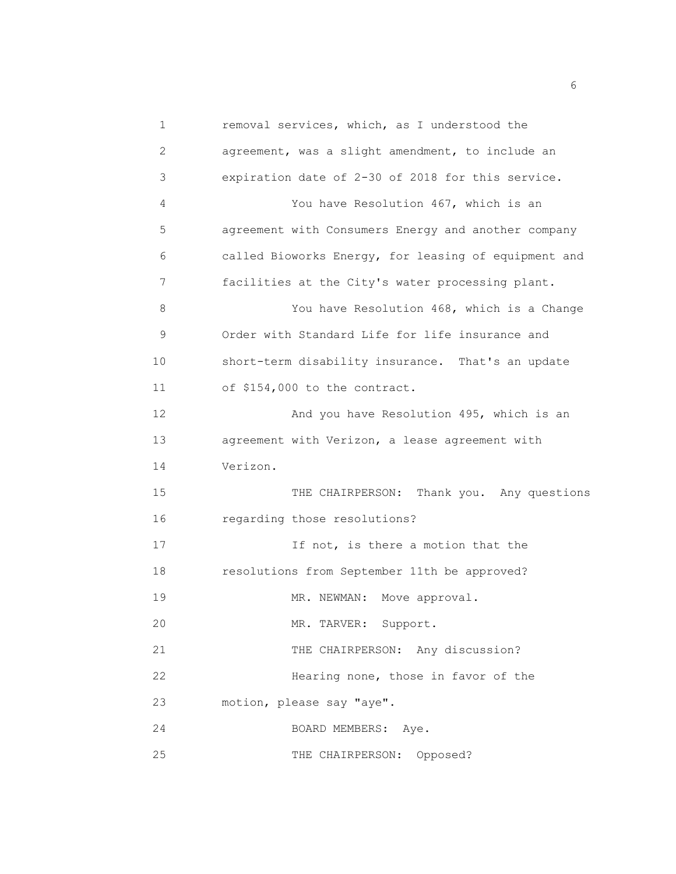1 removal services, which, as I understood the 2 agreement, was a slight amendment, to include an 3 expiration date of 2-30 of 2018 for this service. 4 You have Resolution 467, which is an 5 agreement with Consumers Energy and another company 6 called Bioworks Energy, for leasing of equipment and 7 facilities at the City's water processing plant. 8 You have Resolution 468, which is a Change 9 Order with Standard Life for life insurance and 10 short-term disability insurance. That's an update 11 of \$154,000 to the contract. 12 And you have Resolution 495, which is an 13 agreement with Verizon, a lease agreement with 14 Verizon. 15 THE CHAIRPERSON: Thank you. Any questions 16 regarding those resolutions? 17 17 If not, is there a motion that the 18 resolutions from September 11th be approved? 19 MR. NEWMAN: Move approval. 20 MR. TARVER: Support. 21 THE CHAIRPERSON: Any discussion? 22 Hearing none, those in favor of the 23 motion, please say "aye". 24 BOARD MEMBERS: Aye. 25 THE CHAIRPERSON: Opposed?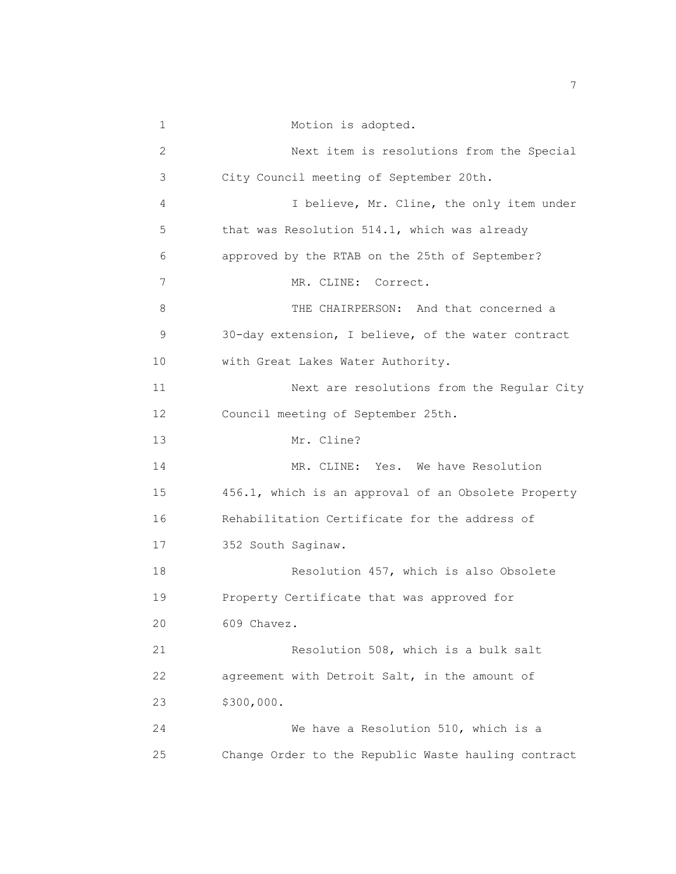1 Motion is adopted. 2 Next item is resolutions from the Special 3 City Council meeting of September 20th. 4 I believe, Mr. Cline, the only item under 5 that was Resolution 514.1, which was already 6 approved by the RTAB on the 25th of September? 7 MR. CLINE: Correct. 8 THE CHAIRPERSON: And that concerned a 9 30-day extension, I believe, of the water contract 10 with Great Lakes Water Authority. 11 Next are resolutions from the Regular City 12 Council meeting of September 25th. 13 Mr. Cline? 14 MR. CLINE: Yes. We have Resolution 15 456.1, which is an approval of an Obsolete Property 16 Rehabilitation Certificate for the address of 17 352 South Saginaw. 18 Resolution 457, which is also Obsolete 19 Property Certificate that was approved for 20 609 Chavez. 21 Resolution 508, which is a bulk salt 22 agreement with Detroit Salt, in the amount of 23 \$300,000. 24 We have a Resolution 510, which is a 25 Change Order to the Republic Waste hauling contract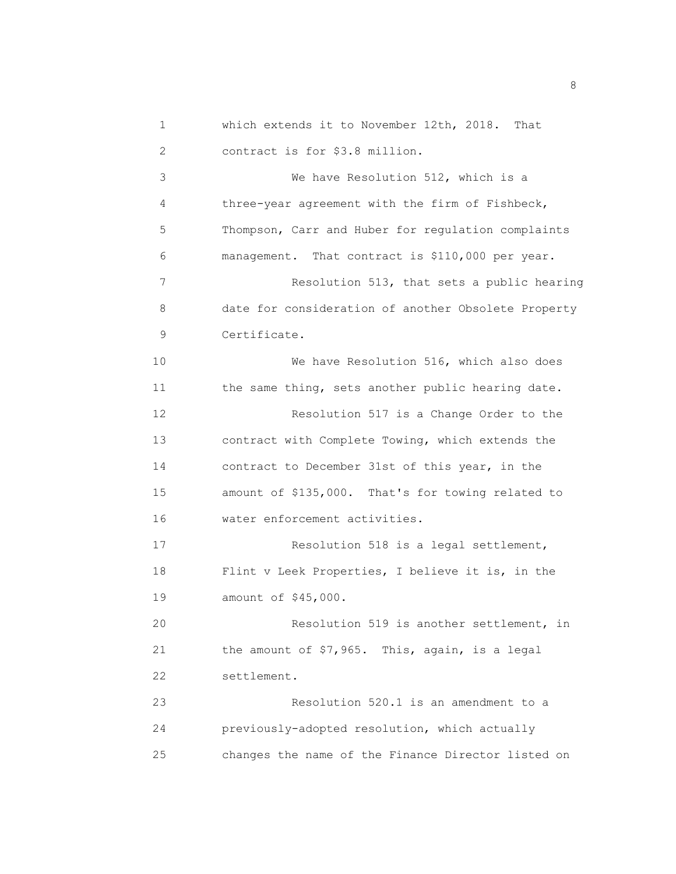| 1  | which extends it to November 12th, 2018.<br>That    |
|----|-----------------------------------------------------|
| 2  | contract is for \$3.8 million.                      |
| 3  | We have Resolution 512, which is a                  |
| 4  | three-year agreement with the firm of Fishbeck,     |
| 5  | Thompson, Carr and Huber for regulation complaints  |
| 6  | management. That contract is \$110,000 per year.    |
| 7  | Resolution 513, that sets a public hearing          |
| 8  | date for consideration of another Obsolete Property |
| 9  | Certificate.                                        |
| 10 | We have Resolution 516, which also does             |
| 11 | the same thing, sets another public hearing date.   |
| 12 | Resolution 517 is a Change Order to the             |
| 13 | contract with Complete Towing, which extends the    |
| 14 | contract to December 31st of this year, in the      |
| 15 | amount of \$135,000. That's for towing related to   |
| 16 | water enforcement activities.                       |
| 17 | Resolution 518 is a legal settlement,               |
| 18 | Flint v Leek Properties, I believe it is, in the    |
| 19 | amount of \$45,000.                                 |
| 20 | Resolution 519 is another settlement, in            |
| 21 | the amount of \$7,965. This, again, is a legal      |
| 22 | settlement.                                         |
| 23 | Resolution 520.1 is an amendment to a               |
| 24 | previously-adopted resolution, which actually       |
| 25 | changes the name of the Finance Director listed on  |

en andere de la provincia de la provincia de la provincia de la provincia de la provincia de la provincia del<br>En 1888, en la provincia de la provincia de la provincia de la provincia de la provincia de la provincia de la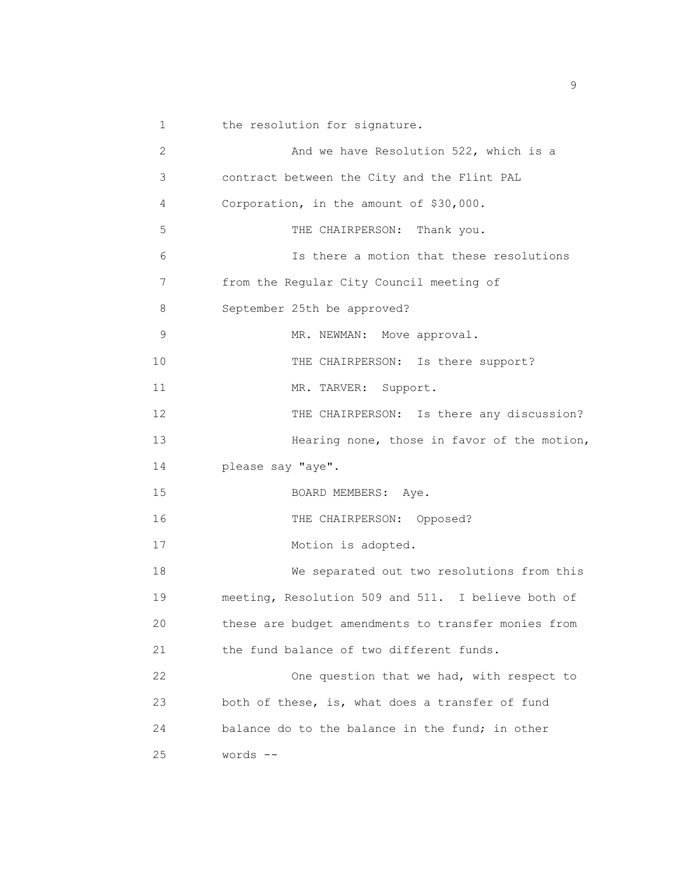1 the resolution for signature.

| $\overline{c}$ | And we have Resolution 522, which is a              |
|----------------|-----------------------------------------------------|
| 3              | contract between the City and the Flint PAL         |
| 4              | Corporation, in the amount of \$30,000.             |
| 5              | THE CHAIRPERSON: Thank you.                         |
| 6              | Is there a motion that these resolutions            |
| 7              | from the Regular City Council meeting of            |
| 8              | September 25th be approved?                         |
| 9              | MR. NEWMAN: Move approval.                          |
| 10             | THE CHAIRPERSON: Is there support?                  |
| 11             | MR. TARVER:<br>Support.                             |
| 12             | THE CHAIRPERSON: Is there any discussion?           |
| 13             | Hearing none, those in favor of the motion,         |
| 14             | please say "aye".                                   |
| 15             | BOARD MEMBERS: Aye.                                 |
| 16             | THE CHAIRPERSON: Opposed?                           |
| 17             | Motion is adopted.                                  |
| 18             | We separated out two resolutions from this          |
| 19             | meeting, Resolution 509 and 511. I believe both of  |
| 20             | these are budget amendments to transfer monies from |
| 21             | the fund balance of two different funds.            |
| 22             | One question that we had, with respect to           |
| 23             | both of these, is, what does a transfer of fund     |
| 24             | balance do to the balance in the fund; in other     |
| 25             | words --                                            |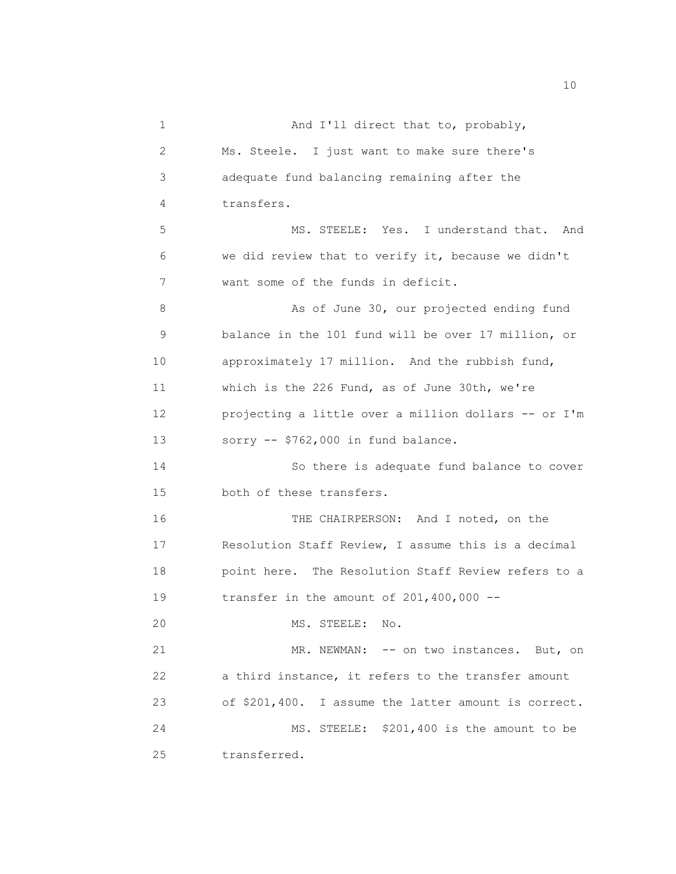| 1  | And I'll direct that to, probably,                   |
|----|------------------------------------------------------|
| 2  | Ms. Steele. I just want to make sure there's         |
| 3  | adequate fund balancing remaining after the          |
| 4  | transfers.                                           |
| 5  | MS. STEELE: Yes. I understand that. And              |
| 6  | we did review that to verify it, because we didn't   |
| 7  | want some of the funds in deficit.                   |
| 8  | As of June 30, our projected ending fund             |
| 9  | balance in the 101 fund will be over 17 million, or  |
| 10 | approximately 17 million. And the rubbish fund,      |
| 11 | which is the 226 Fund, as of June 30th, we're        |
| 12 | projecting a little over a million dollars -- or I'm |
| 13 | sorry $--$ \$762,000 in fund balance.                |
| 14 | So there is adequate fund balance to cover           |
| 15 | both of these transfers.                             |
| 16 | THE CHAIRPERSON: And I noted, on the                 |
| 17 | Resolution Staff Review, I assume this is a decimal  |
| 18 | point here. The Resolution Staff Review refers to a  |
| 19 | transfer in the amount of $201,400,000$ --           |
| 20 | MS. STEELE: No.                                      |
| 21 | MR. NEWMAN: -- on two instances. But, on             |
| 22 | a third instance, it refers to the transfer amount   |
| 23 | of \$201,400. I assume the latter amount is correct. |
| 24 | MS. STEELE: \$201,400 is the amount to be            |
| 25 | transferred.                                         |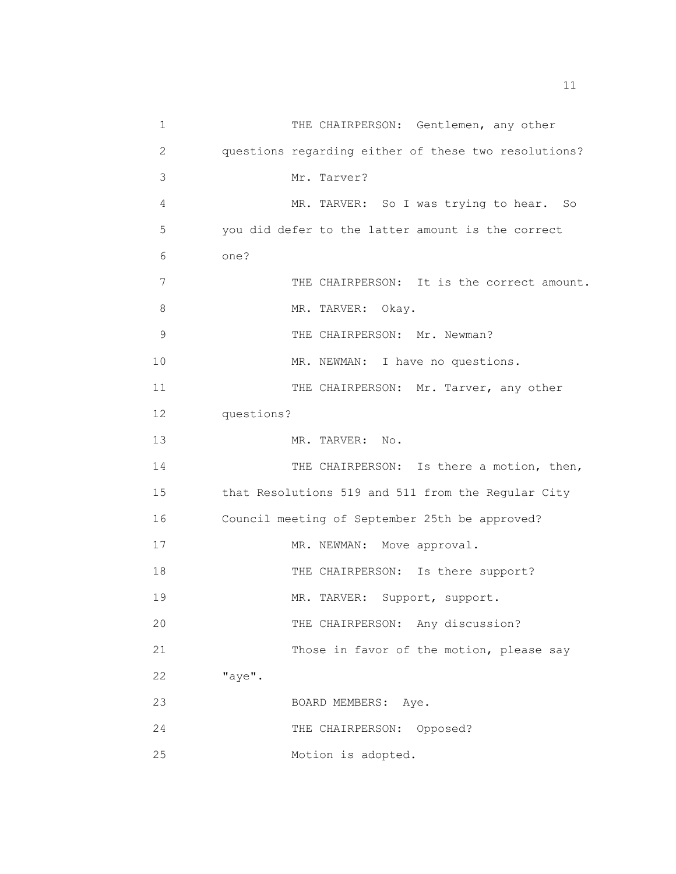1 THE CHAIRPERSON: Gentlemen, any other 2 questions regarding either of these two resolutions? 3 Mr. Tarver? 4 MR. TARVER: So I was trying to hear. So 5 you did defer to the latter amount is the correct 6 one? 7 THE CHAIRPERSON: It is the correct amount. 8 MR. TARVER: Okay. 9 THE CHAIRPERSON: Mr. Newman? 10 MR. NEWMAN: I have no questions. 11 THE CHAIRPERSON: Mr. Tarver, any other 12 questions? 13 MR. TARVER: No. 14 THE CHAIRPERSON: Is there a motion, then, 15 that Resolutions 519 and 511 from the Regular City 16 Council meeting of September 25th be approved? 17 MR. NEWMAN: Move approval. 18 THE CHAIRPERSON: Is there support? 19 MR. TARVER: Support, support. 20 THE CHAIRPERSON: Any discussion? 21 Those in favor of the motion, please say 22 "aye". 23 BOARD MEMBERS: Aye. 24 THE CHAIRPERSON: Opposed? 25 Motion is adopted.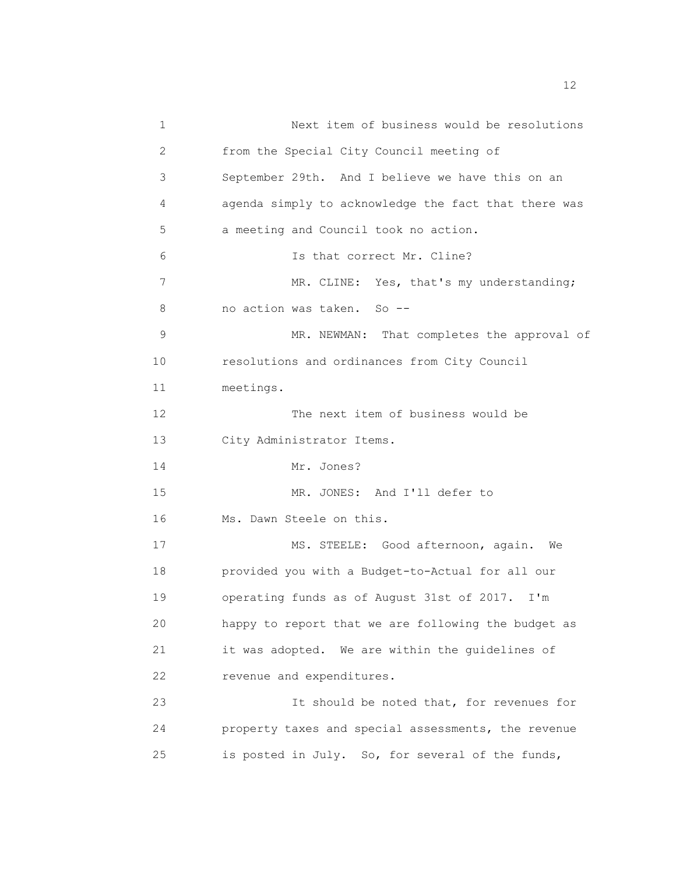| 1             | Next item of business would be resolutions           |
|---------------|------------------------------------------------------|
| 2             | from the Special City Council meeting of             |
| 3             | September 29th. And I believe we have this on an     |
| 4             | agenda simply to acknowledge the fact that there was |
| 5             | a meeting and Council took no action.                |
| 6             | Is that correct Mr. Cline?                           |
| 7             | MR. CLINE: Yes, that's my understanding;             |
| 8             | no action was taken. So --                           |
| $\mathcal{G}$ | That completes the approval of<br>MR. NEWMAN:        |
| 10            | resolutions and ordinances from City Council         |
| 11            | meetings.                                            |
| 12            | The next item of business would be                   |
| 13            | City Administrator Items.                            |
| 14            | Mr. Jones?                                           |
| 15            | MR. JONES: And I'll defer to                         |
| 16            | Ms. Dawn Steele on this.                             |
| 17            | MS. STEELE: Good afternoon, again.<br>We             |
| 18            | provided you with a Budget-to-Actual for all our     |
| 19            | operating funds as of August 31st of 2017. I'm       |
| 20            | happy to report that we are following the budget as  |
| 21            | it was adopted. We are within the quidelines of      |
| 22            | revenue and expenditures.                            |
| 23            | It should be noted that, for revenues for            |
| 24            | property taxes and special assessments, the revenue  |
| 25            | is posted in July. So, for several of the funds,     |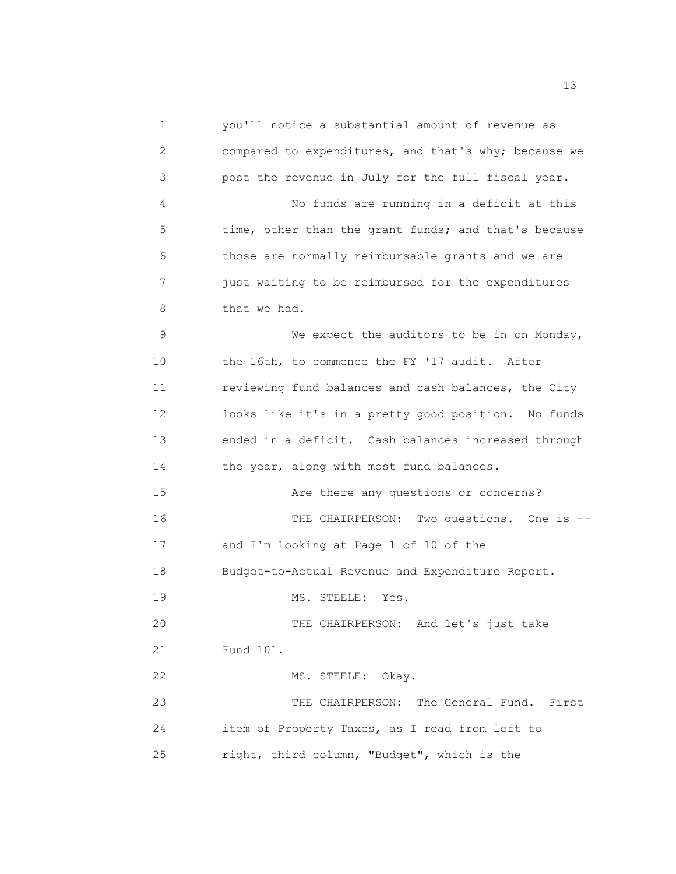1 you'll notice a substantial amount of revenue as 2 compared to expenditures, and that's why; because we 3 post the revenue in July for the full fiscal year. 4 No funds are running in a deficit at this 5 time, other than the grant funds; and that's because 6 those are normally reimbursable grants and we are 7 just waiting to be reimbursed for the expenditures 8 that we had. 9 We expect the auditors to be in on Monday, 10 the 16th, to commence the FY '17 audit. After 11 reviewing fund balances and cash balances, the City 12 looks like it's in a pretty good position. No funds 13 ended in a deficit. Cash balances increased through 14 the year, along with most fund balances. 15 Are there any questions or concerns? 16 THE CHAIRPERSON: Two questions. One is -- 17 and I'm looking at Page 1 of 10 of the 18 Budget-to-Actual Revenue and Expenditure Report. 19 MS. STEELE: Yes. 20 THE CHAIRPERSON: And let's just take 21 Fund 101. 22 MS. STEELE: Okay. 23 THE CHAIRPERSON: The General Fund. First 24 item of Property Taxes, as I read from left to 25 right, third column, "Budget", which is the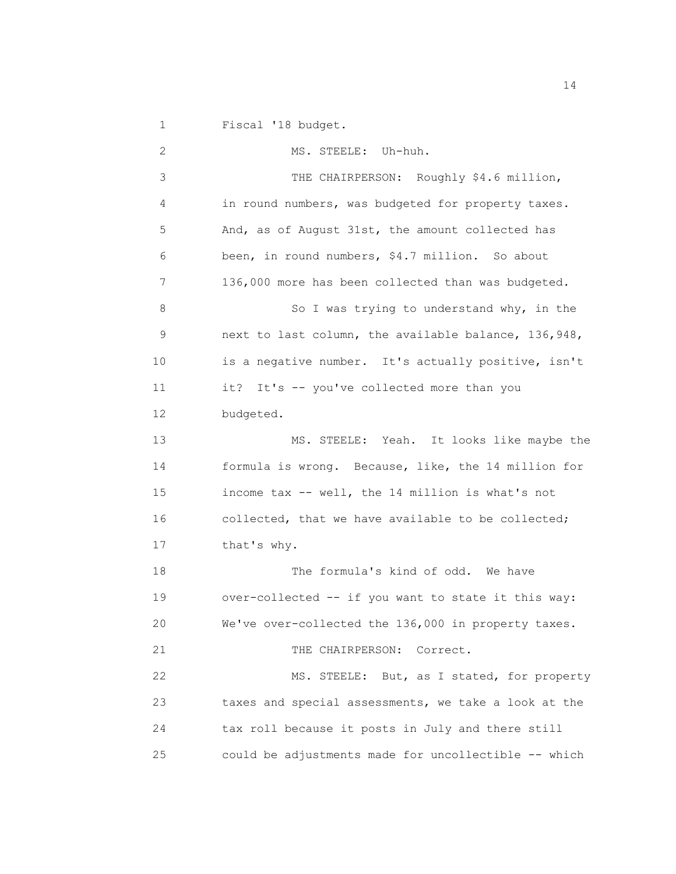1 Fiscal '18 budget.

 2 MS. STEELE: Uh-huh. 3 THE CHAIRPERSON: Roughly \$4.6 million, 4 in round numbers, was budgeted for property taxes. 5 And, as of August 31st, the amount collected has 6 been, in round numbers, \$4.7 million. So about 7 136,000 more has been collected than was budgeted. 8 So I was trying to understand why, in the 9 next to last column, the available balance, 136,948, 10 is a negative number. It's actually positive, isn't 11 it? It's -- you've collected more than you 12 budgeted. 13 MS. STEELE: Yeah. It looks like maybe the 14 formula is wrong. Because, like, the 14 million for 15 income tax -- well, the 14 million is what's not 16 collected, that we have available to be collected; 17 that's why. 18 The formula's kind of odd. We have 19 over-collected -- if you want to state it this way: 20 We've over-collected the 136,000 in property taxes. 21 THE CHAIRPERSON: Correct. 22 MS. STEELE: But, as I stated, for property 23 taxes and special assessments, we take a look at the 24 tax roll because it posts in July and there still 25 could be adjustments made for uncollectible -- which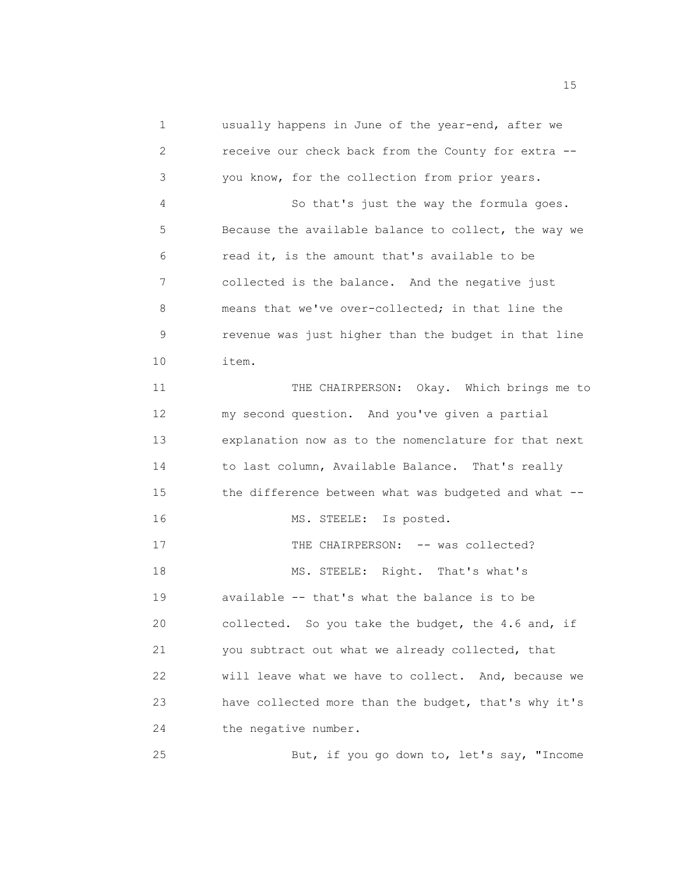1 usually happens in June of the year-end, after we 2 receive our check back from the County for extra -- 3 you know, for the collection from prior years. 4 So that's just the way the formula goes. 5 Because the available balance to collect, the way we 6 read it, is the amount that's available to be 7 collected is the balance. And the negative just 8 means that we've over-collected; in that line the 9 revenue was just higher than the budget in that line 10 item. 11 THE CHAIRPERSON: Okay. Which brings me to 12 my second question. And you've given a partial 13 explanation now as to the nomenclature for that next 14 to last column, Available Balance. That's really 15 the difference between what was budgeted and what --16 MS. STEELE: Is posted. 17 THE CHAIRPERSON: -- was collected? 18 MS. STEELE: Right. That's what's 19 available -- that's what the balance is to be 20 collected. So you take the budget, the 4.6 and, if 21 you subtract out what we already collected, that 22 will leave what we have to collect. And, because we 23 have collected more than the budget, that's why it's 24 the negative number. 25 But, if you go down to, let's say, "Income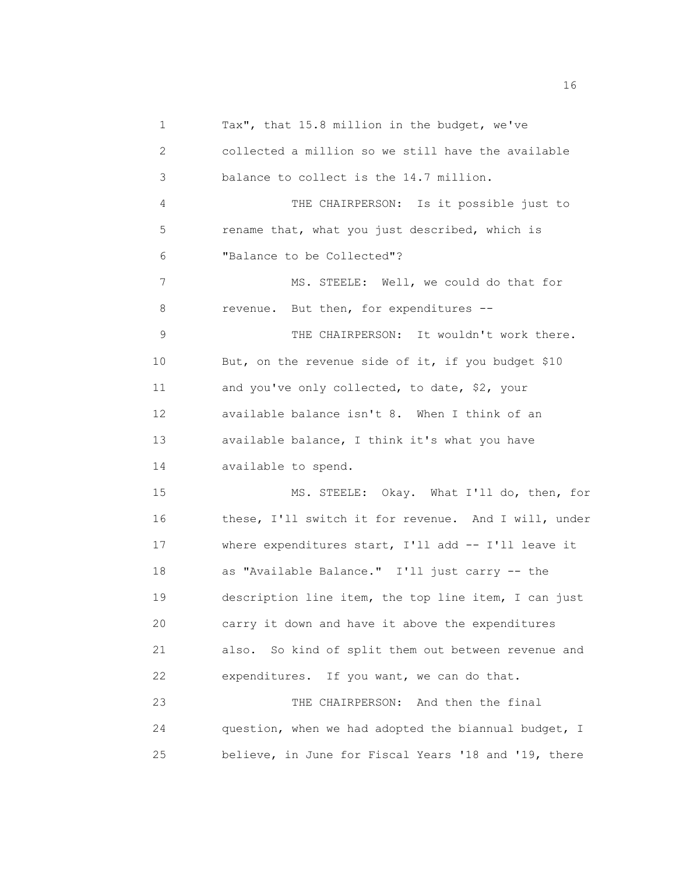1 Tax", that 15.8 million in the budget, we've 2 collected a million so we still have the available 3 balance to collect is the 14.7 million. 4 THE CHAIRPERSON: Is it possible just to 5 rename that, what you just described, which is 6 "Balance to be Collected"? 7 MS. STEELE: Well, we could do that for 8 revenue. But then, for expenditures -- 9 THE CHAIRPERSON: It wouldn't work there. 10 But, on the revenue side of it, if you budget \$10 11 and you've only collected, to date, \$2, your 12 available balance isn't 8. When I think of an 13 available balance, I think it's what you have 14 available to spend. 15 MS. STEELE: Okay. What I'll do, then, for 16 these, I'll switch it for revenue. And I will, under 17 where expenditures start, I'll add -- I'll leave it 18 as "Available Balance." I'll just carry -- the 19 description line item, the top line item, I can just 20 carry it down and have it above the expenditures 21 also. So kind of split them out between revenue and 22 expenditures. If you want, we can do that. 23 THE CHAIRPERSON: And then the final 24 question, when we had adopted the biannual budget, I 25 believe, in June for Fiscal Years '18 and '19, there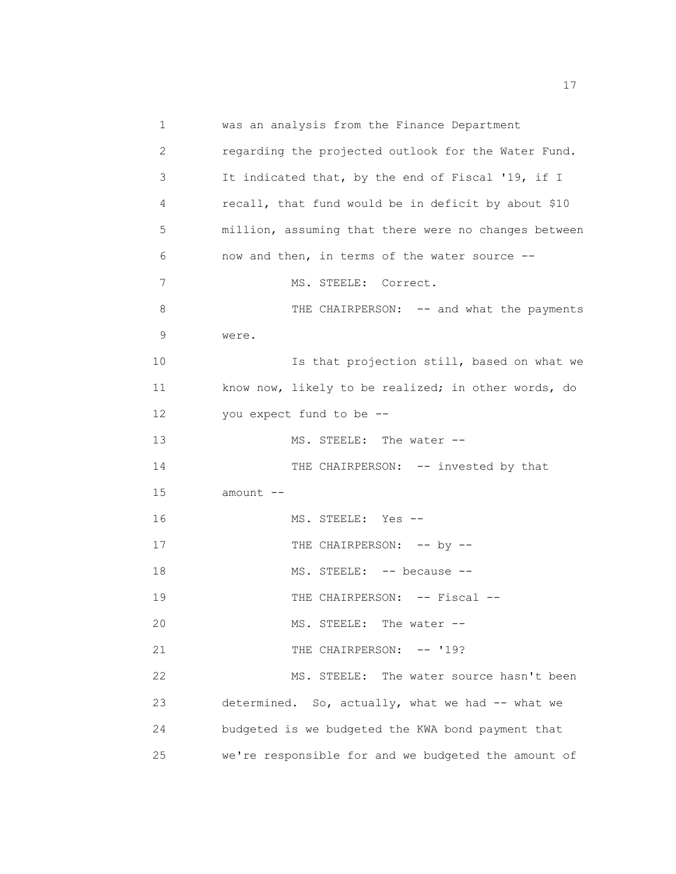1 was an analysis from the Finance Department 2 regarding the projected outlook for the Water Fund. 3 It indicated that, by the end of Fiscal '19, if I 4 recall, that fund would be in deficit by about \$10 5 million, assuming that there were no changes between 6 now and then, in terms of the water source -- 7 MS. STEELE: Correct. 8 THE CHAIRPERSON: -- and what the payments 9 were. 10 Is that projection still, based on what we 11 know now, likely to be realized; in other words, do 12 you expect fund to be -- 13 14 15 amount -- 16 17 18 19 20 21 22 MS. STEELE: The water -- THE CHAIRPERSON: -- invested by that MS. STEELE: Yes -- THE CHAIRPERSON: -- by --MS. STEELE: -- because --THE CHAIRPERSON: -- Fiscal --MS. STEELE: The water -- THE CHAIRPERSON: -- '19? MS. STEELE: The water source hasn't been 23 determined. So, actually, what we had -- what we 24 budgeted is we budgeted the KWA bond payment that 25 we're responsible for and we budgeted the amount of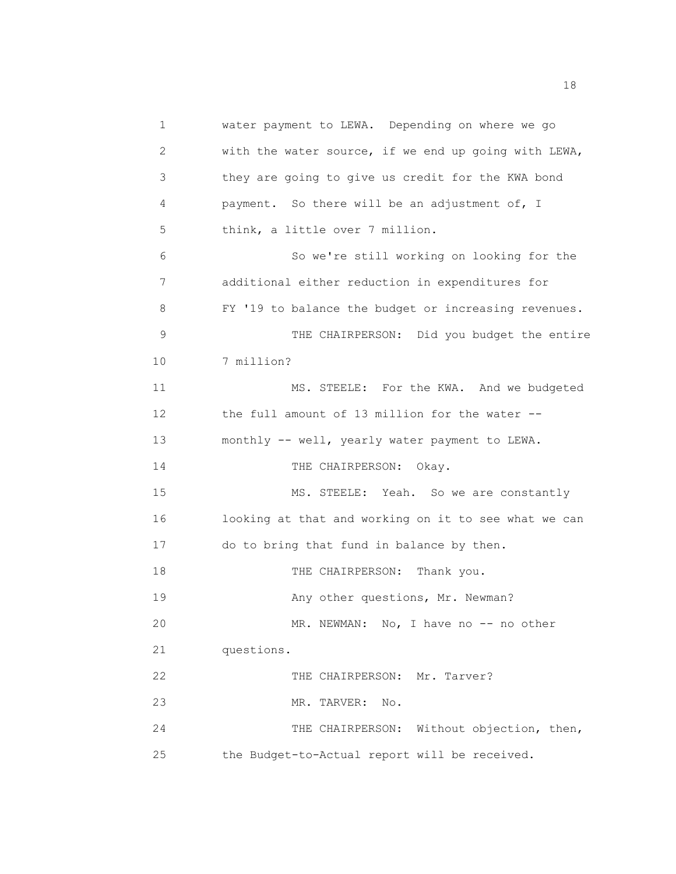1 water payment to LEWA. Depending on where we go 2 with the water source, if we end up going with LEWA, 3 they are going to give us credit for the KWA bond 4 payment. So there will be an adjustment of, I 5 think, a little over 7 million. 6 So we're still working on looking for the 7 additional either reduction in expenditures for 8 FY '19 to balance the budget or increasing revenues. 9 THE CHAIRPERSON: Did you budget the entire 10 7 million? 11 MS. STEELE: For the KWA. And we budgeted 12 the full amount of 13 million for the water -- 13 monthly -- well, yearly water payment to LEWA. 14 THE CHAIRPERSON: Okay. 15 MS. STEELE: Yeah. So we are constantly 16 looking at that and working on it to see what we can 17 do to bring that fund in balance by then. 18 THE CHAIRPERSON: Thank you. 19 Any other questions, Mr. Newman? 20 MR. NEWMAN: No, I have no -- no other 21 questions. 22 THE CHAIRPERSON: Mr. Tarver? 23 MR. TARVER: No. 24 THE CHAIRPERSON: Without objection, then, 25 the Budget-to-Actual report will be received.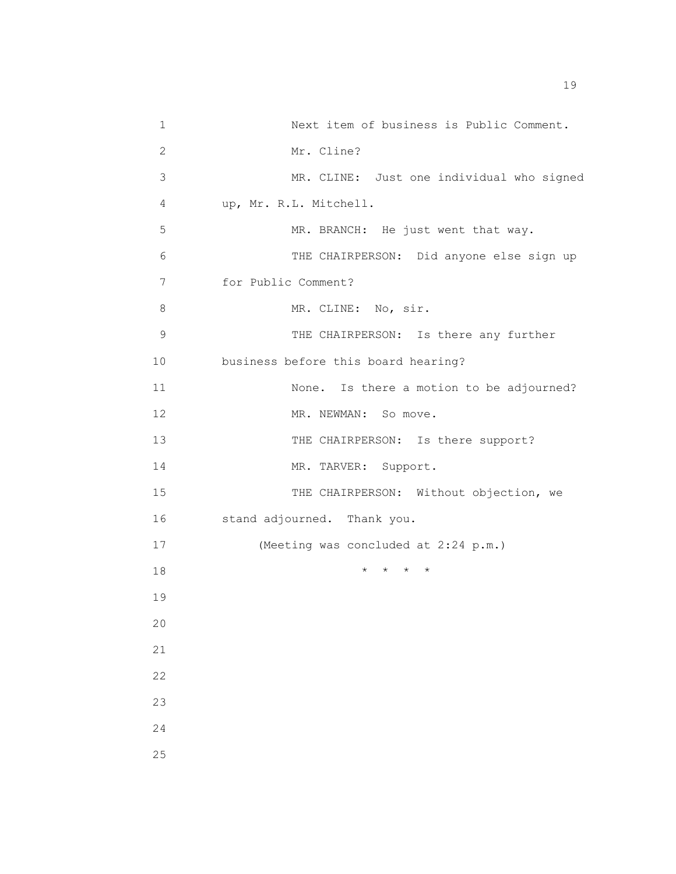| 1              | Next item of business is Public Comment.  |
|----------------|-------------------------------------------|
| $\overline{c}$ | Mr. Cline?                                |
| 3              | MR. CLINE: Just one individual who signed |
| 4              | up, Mr. R.L. Mitchell.                    |
| 5              | MR. BRANCH: He just went that way.        |
| 6              | THE CHAIRPERSON: Did anyone else sign up  |
| 7              | for Public Comment?                       |
| 8              | MR. CLINE: No, sir.                       |
| 9              | THE CHAIRPERSON: Is there any further     |
| 10             | business before this board hearing?       |
| 11             | None. Is there a motion to be adjourned?  |
| 12             | MR. NEWMAN: So move.                      |
| 13             | THE CHAIRPERSON: Is there support?        |
| 14             | MR. TARVER: Support.                      |
| 15             | THE CHAIRPERSON: Without objection, we    |
| 16             | stand adjourned. Thank you.               |
| 17             | (Meeting was concluded at 2:24 p.m.)      |
| 18             | $\star$<br>$\star$<br>$\star$             |
| 19             |                                           |
| 20             |                                           |
| 21             |                                           |
| 22             |                                           |
| 23             |                                           |
| 24             |                                           |
| 25             |                                           |